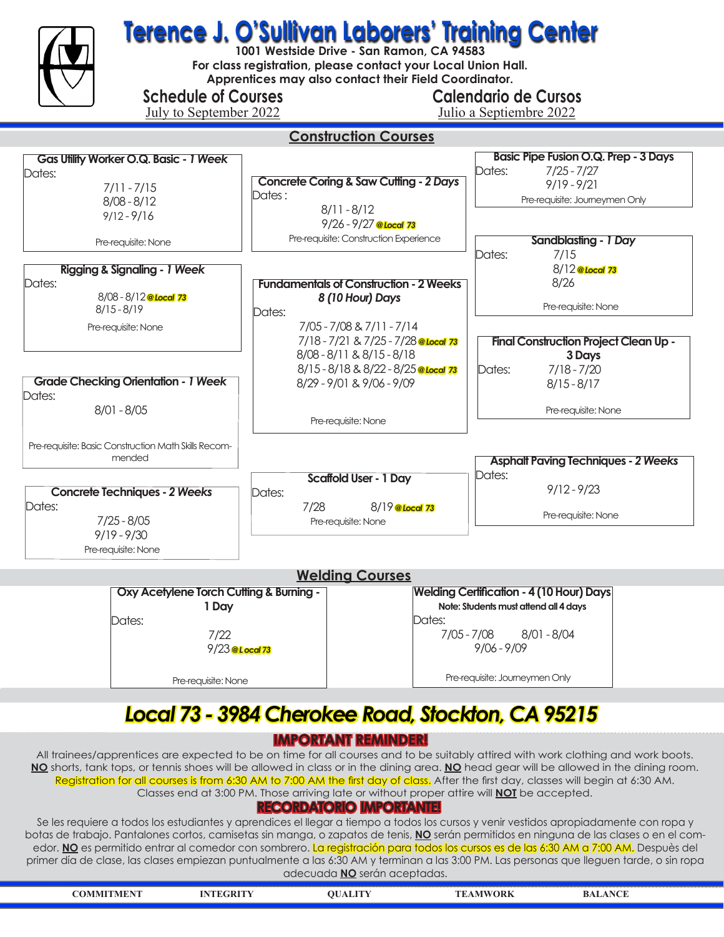

7/22 9/23 *@ L ocal 73* 

Pre-requisite: None

 $\overline{\phantom{a}}$ 

 7/05 - 7/08 8/01 - 8/04 9/06 - 9/09

Pre-requisite: Journeymen Only

## *Local 73 - 3984 Cherokee Road, Stockton, CA 95215*

### **IMPORTANT REMINDER!**

All trainees/apprentices are expected to be on time for all courses and to be suitably attired with work clothing and work boots. **NO** shorts, tank tops, or tennis shoes will be allowed in class or in the dining area. **NO** head gear will be allowed in the dining room. Registration for all courses is from 6:30 AM to 7:00 AM the first day of class. After the first day, classes will begin at 6:30 AM. Classes end at 3:00 PM. Those arriving late or without proper attire will **NOT** be accepted.

### **RECORDATORIO IMPORTANTE!**

Se les requiere a todos los estudiantes y aprendices el llegar a tiempo a todos los cursos y venir vestidos apropiadamente con ropa y botas de trabajo. Pantalones cortos, camisetas sin manga, o zapatos de tenis, **NO** serán permitidos en ninguna de las clases o en el comedor. No es permitido entrar al comedor con sombrero. La registración para todos los cursos es de las 6:30 AM a 7:00 AM. Despuès del primer día de clase, las clases empiezan puntualmente a las 6:30 AM y terminan a las 3:00 PM. Las personas que lleguen tarde, o sin ropa adecuada **NO** serán aceptadas.